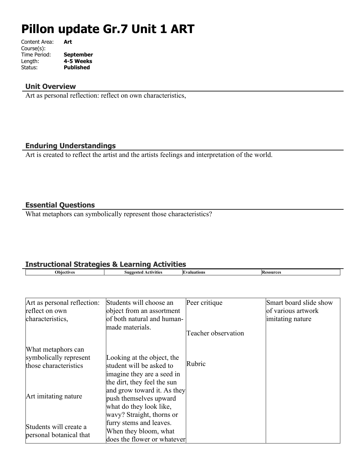# **Pillon update Gr.7 Unit 1 ART**

| Art              |
|------------------|
|                  |
| <b>September</b> |
| 4-5 Weeks        |
| <b>Published</b> |
|                  |

#### **Unit Overview**

Art as personal reflection: reflect on own characteristics,

#### **Enduring Understandings**

Art is created to reflect the artist and the artists feelings and interpretation of the world.

## **Essential Questions**

What metaphors can symbolically represent those characteristics?

# **Instructional Strategies & Learning Activities**

| ∩hi≀<br>etwee | Suggested<br>vīties<br>CTIV. | Huations | R.<br>**sources* |
|---------------|------------------------------|----------|------------------|
|               |                              |          |                  |

| Art as personal reflection: | Students will choose an     | Peer critique       | Smart board slide show |
|-----------------------------|-----------------------------|---------------------|------------------------|
| reflect on own              | object from an assortment   |                     | of various artwork     |
| characteristics,            | of both natural and human-  |                     | imitating nature       |
|                             | made materials.             | Teacher observation |                        |
| What metaphors can          |                             |                     |                        |
| symbolically represent      | Looking at the object, the  |                     |                        |
| those characteristics       | student will be asked to    | Rubric              |                        |
|                             | imagine they are a seed in  |                     |                        |
|                             | the dirt, they feel the sun |                     |                        |
|                             | and grow toward it. As they |                     |                        |
| Art imitating nature        | push themselves upward      |                     |                        |
|                             | what do they look like,     |                     |                        |
|                             | wavy? Straight, thorns or   |                     |                        |
| Students will create a      | furry stems and leaves.     |                     |                        |
| personal botanical that     | When they bloom, what       |                     |                        |
|                             | does the flower or whatever |                     |                        |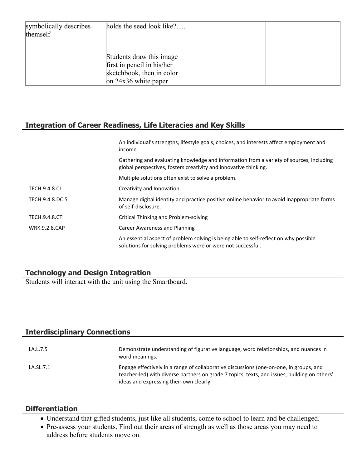| symbolically describes<br>themself | holds the seed look like?                                                                                     |  |
|------------------------------------|---------------------------------------------------------------------------------------------------------------|--|
|                                    | Students draw this image<br>first in pencil in his/her<br>sketchbook, then in color<br>on $24x36$ white paper |  |

# **Integration of Career Readiness, Life Literacies and Key Skills**

|                      | An individual's strengths, lifestyle goals, choices, and interests affect employment and<br>income.                                                         |
|----------------------|-------------------------------------------------------------------------------------------------------------------------------------------------------------|
|                      | Gathering and evaluating knowledge and information from a variety of sources, including<br>global perspectives, fosters creativity and innovative thinking. |
|                      | Multiple solutions often exist to solve a problem.                                                                                                          |
| <b>TECH.9.4.8.CI</b> | Creativity and Innovation                                                                                                                                   |
| TECH.9.4.8.DC.5      | Manage digital identity and practice positive online behavior to avoid inappropriate forms<br>of self-disclosure.                                           |
| <b>TECH.9.4.8.CT</b> | Critical Thinking and Problem-solving                                                                                                                       |
| <b>WRK.9.2.8.CAP</b> | Career Awareness and Planning                                                                                                                               |
|                      | An essential aspect of problem solving is being able to self-reflect on why possible<br>solutions for solving problems were or were not successful.         |

## **Technology and Design Integration**

Students will interact with the unit using the Smartboard.

## **Interdisciplinary Connections**

| LA.L.7.5  | Demonstrate understanding of figurative language, word relationships, and nuances in<br>word meanings.                                                                                                                            |
|-----------|-----------------------------------------------------------------------------------------------------------------------------------------------------------------------------------------------------------------------------------|
| LA.SL.7.1 | Engage effectively in a range of collaborative discussions (one-on-one, in groups, and<br>teacher-led) with diverse partners on grade 7 topics, texts, and issues, building on others'<br>ideas and expressing their own clearly. |

#### **Differentiation**

- Understand that gifted students, just like all students, come to school to learn and be challenged.
- Pre-assess your students. Find out their areas of strength as well as those areas you may need to address before students move on.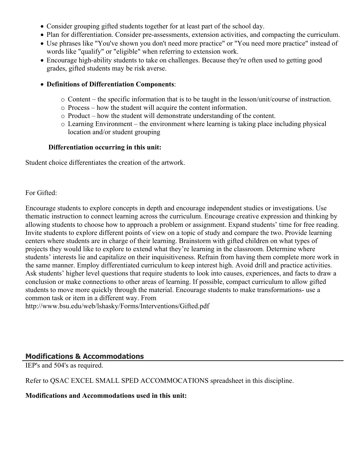- Consider grouping gifted students together for at least part of the school day.
- Plan for differentiation. Consider pre-assessments, extension activities, and compacting the curriculum.
- Use phrases like "You've shown you don't need more practice" or "You need more practice" instead of words like "qualify" or "eligible" when referring to extension work.
- Encourage high-ability students to take on challenges. Because they're often used to getting good grades, gifted students may be risk averse.
- **Definitions of Differentiation Components**:
	- $\circ$  Content the specific information that is to be taught in the lesson/unit/course of instruction.
	- o Process how the student will acquire the content information.
	- o Product how the student will demonstrate understanding of the content.
	- o Learning Environment the environment where learning is taking place including physical location and/or student grouping

## **Differentiation occurring in this unit:**

Student choice differentiates the creation of the artwork.

## For Gifted:

Encourage students to explore concepts in depth and encourage independent studies or investigations. Use thematic instruction to connect learning across the curriculum. Encourage creative expression and thinking by allowing students to choose how to approach a problem or assignment. Expand students' time for free reading. Invite students to explore different points of view on a topic of study and compare the two. Provide learning centers where students are in charge of their learning. Brainstorm with gifted children on what types of projects they would like to explore to extend what they're learning in the classroom. Determine where students' interests lie and capitalize on their inquisitiveness. Refrain from having them complete more work in the same manner. Employ differentiated curriculum to keep interest high. Avoid drill and practice activities. Ask students' higher level questions that require students to look into causes, experiences, and facts to draw a conclusion or make connections to other areas of learning. If possible, compact curriculum to allow gifted students to move more quickly through the material. Encourage students to make transformations- use a common task or item in a different way. From

http://www.bsu.edu/web/lshasky/Forms/Interventions/Gifted.pdf

# **Modifications & Accommodations**

IEP's and 504's as required.

Refer to QSAC EXCEL SMALL SPED ACCOMMOCATIONS spreadsheet in this discipline.

## **Modifications and Accommodations used in this unit:**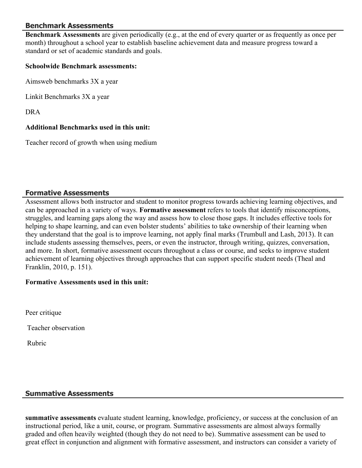## **Benchmark Assessments**

**Benchmark Assessments** are given periodically (e.g., at the end of every quarter or as frequently as once per month) throughout a school year to establish baseline achievement data and measure progress toward a standard or set of academic standards and goals.

#### **Schoolwide Benchmark assessments:**

Aimsweb benchmarks 3X a year

Linkit Benchmarks 3X a year

DRA

#### **Additional Benchmarks used in this unit:**

Teacher record of growth when using medium

#### **Formative Assessments**

Assessment allows both instructor and student to monitor progress towards achieving learning objectives, and can be approached in a variety of ways. **Formative assessment** refers to tools that identify misconceptions, struggles, and learning gaps along the way and assess how to close those gaps. It includes effective tools for helping to shape learning, and can even bolster students' abilities to take ownership of their learning when they understand that the goal is to improve learning, not apply final marks (Trumbull and Lash, 2013). It can include students assessing themselves, peers, or even the instructor, through writing, quizzes, conversation, and more. In short, formative assessment occurs throughout a class or course, and seeks to improve student achievement of learning objectives through approaches that can support specific student needs (Theal and Franklin, 2010, p. 151).

#### **Formative Assessments used in this unit:**

Peer critique

Teacher observation

Rubric

#### **Summative Assessments**

**summative assessments** evaluate student learning, knowledge, proficiency, or success at the conclusion of an instructional period, like a unit, course, or program. Summative assessments are almost always formally graded and often heavily weighted (though they do not need to be). Summative assessment can be used to great effect in conjunction and alignment with formative assessment, and instructors can consider a variety of